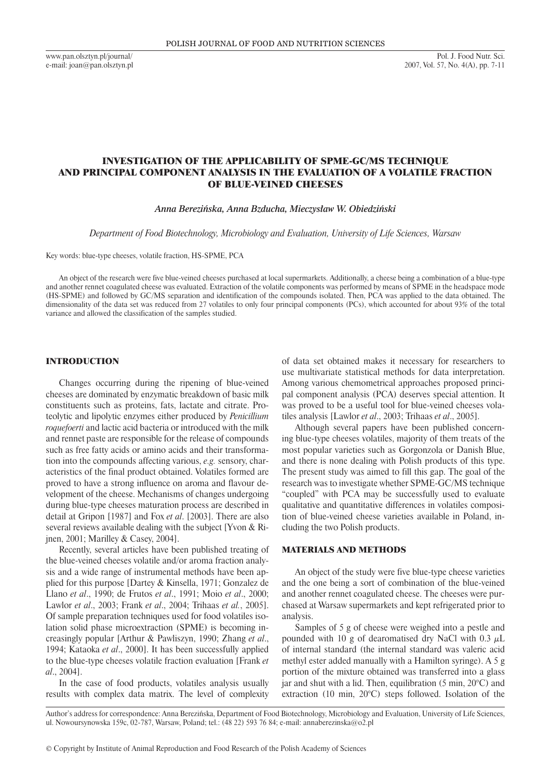www.pan.olsztyn.pl/journal/ e-mail: joan@pan.olsztyn.pl

# INVESTIGATION OF THE APPLICABILITY OF SPME-GC/MS TECHNIQUE AND PRINCIPAL COMPONENT ANALYSIS IN THE EVALUATION OF A VOLATILE FRACTION OF BLUE-VEINED CHEESES

*Anna Berezińska, Anna Bzducha, Mieczysław W. Obiedziński*

*Department of Food Biotechnology, Microbiology and Evaluation, University of Life Sciences, Warsaw*

Key words: blue-type cheeses, volatile fraction, HS-SPME, PCA

An object of the research were five blue-veined cheeses purchased at local supermarkets. Additionally, a cheese being a combination of a blue-type and another rennet coagulated cheese was evaluated. Extraction of the volatile components was performed by means of SPME in the headspace mode (HS-SPME) and followed by GC/MS separation and identification of the compounds isolated. Then, PCA was applied to the data obtained. The dimensionality of the data set was reduced from 27 volatiles to only four principal components (PCs), which accounted for about 93% of the total variance and allowed the classification of the samples studied.

### INTRODUCTION

Changes occurring during the ripening of blue-veined cheeses are dominated by enzymatic breakdown of basic milk constituents such as proteins, fats, lactate and citrate. Proteolytic and lipolytic enzymes either produced by *Penicillium roquefoerti* and lactic acid bacteria or introduced with the milk and rennet paste are responsible for the release of compounds such as free fatty acids or amino acids and their transformation into the compounds affecting various, *e.g.* sensory, characteristics of the final product obtained. Volatiles formed are proved to have a strong influence on aroma and flavour development of the cheese. Mechanisms of changes undergoing during blue-type cheeses maturation process are described in detail at Gripon [1987] and Fox *et al*. [2003]. There are also several reviews available dealing with the subject [Yvon & Rijnen, 2001; Marilley & Casey, 2004].

Recently, several articles have been published treating of the blue-veined cheeses volatile and/or aroma fraction analysis and a wide range of instrumental methods have been applied for this purpose [Dartey & Kinsella, 1971; Gonzalez de Llano *et al*., 1990; de Frutos *et al*., 1991; Moio *et al*., 2000; Lawlor *et al*., 2003; Frank *et al*., 2004; Trihaas *et al.*, 2005]. Of sample preparation techniques used for food volatiles isolation solid phase microextraction (SPME) is becoming increasingly popular [Arthur & Pawliszyn, 1990; Zhang *et al*., 1994; Kataoka *et al*., 2000]. It has been successfully applied to the blue-type cheeses volatile fraction evaluation [Frank *et al*., 2004].

In the case of food products, volatiles analysis usually results with complex data matrix. The level of complexity of data set obtained makes it necessary for researchers to use multivariate statistical methods for data interpretation. Among various chemometrical approaches proposed principal component analysis (PCA) deserves special attention. It was proved to be a useful tool for blue-veined cheeses volatiles analysis [Lawlor *et al*., 2003; Trihaas *et al*., 2005].

Although several papers have been published concerning blue-type cheeses volatiles, majority of them treats of the most popular varieties such as Gorgonzola or Danish Blue, and there is none dealing with Polish products of this type. The present study was aimed to fill this gap. The goal of the research was to investigate whether SPME-GC/MS technique "coupled" with PCA may be successfully used to evaluate qualitative and quantitative differences in volatiles composition of blue-veined cheese varieties available in Poland, including the two Polish products.

#### MATERIALS AND METHODS

An object of the study were five blue-type cheese varieties and the one being a sort of combination of the blue-veined and another rennet coagulated cheese. The cheeses were purchased at Warsaw supermarkets and kept refrigerated prior to analysis.

Samples of 5 g of cheese were weighed into a pestle and pounded with 10 g of dearomatised dry NaCl with 0.3  $\mu$ L of internal standard (the internal standard was valeric acid methyl ester added manually with a Hamilton syringe). A 5 g portion of the mixture obtained was transferred into a glass jar and shut with a lid. Then, equilibration (5 min, 20°C) and extraction (10 min, 20°C) steps followed. Isolation of the

Author's address for correspondence: Anna Berezińska, Department of Food Biotechnology, Microbiology and Evaluation, University of Life Sciences, ul. Nowoursynowska 159c, 02-787, Warsaw, Poland; tel.: (48 22) 593 76 84; e-mail: annaberezinska@o2.pl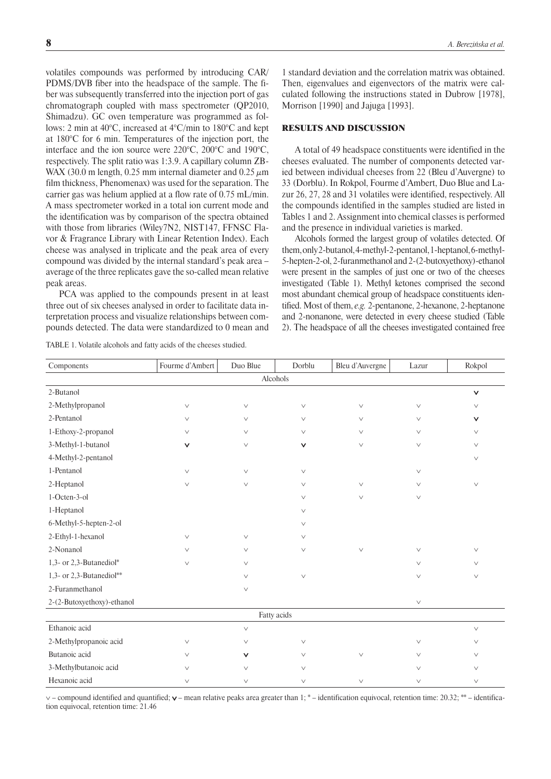volatiles compounds was performed by introducing CAR/ PDMS/DVB fiber into the headspace of the sample. The fiber was subsequently transferred into the injection port of gas chromatograph coupled with mass spectrometer (QP2010, Shimadzu). GC oven temperature was programmed as follows: 2 min at 40°C, increased at 4°C/min to 180°C and kept at 180°C for 6 min. Temperatures of the injection port, the interface and the ion source were 220°C, 200°C and 190°C, respectively. The split ratio was 1:3.9. A capillary column ZB-WAX (30.0 m length, 0.25 mm internal diameter and 0.25  $\mu$ m film thickness, Phenomenax) was used for the separation. The carrier gas was helium applied at a flow rate of 0.75 mL/min. A mass spectrometer worked in a total ion current mode and the identification was by comparison of the spectra obtained with those from libraries (Wiley7N2, NIST147, FFNSC Flavor & Fragrance Library with Linear Retention Index). Each cheese was analysed in triplicate and the peak area of every compound was divided by the internal standard's peak area – average of the three replicates gave the so-called mean relative peak areas.

PCA was applied to the compounds present in at least three out of six cheeses analysed in order to facilitate data interpretation process and visualize relationships between compounds detected. The data were standardized to 0 mean and

|  |  |  | TABLE 1. Volatile alcohols and fatty acids of the cheeses studied. |  |  |  |  |  |  |  |  |
|--|--|--|--------------------------------------------------------------------|--|--|--|--|--|--|--|--|
|--|--|--|--------------------------------------------------------------------|--|--|--|--|--|--|--|--|

1 standard deviation and the correlation matrix was obtained. Then, eigenvalues and eigenvectors of the matrix were calculated following the instructions stated in Dubrow [1978], Morrison [1990] and Jajuga [1993].

### RESULTS AND DISCUSSION

A total of 49 headspace constituents were identified in the cheeses evaluated. The number of components detected varied between individual cheeses from 22 (Bleu d'Auvergne) to 33 (Dorblu). In Rokpol, Fourme d'Ambert, Duo Blue and Lazur 26, 27, 28 and 31 volatiles were identified, respectively. All the compounds identified in the samples studied are listed in Tables 1 and 2. Assignment into chemical classes is performed and the presence in individual varieties is marked.

Alcohols formed the largest group of volatiles detected. Of them, only 2-butanol, 4-methyl-2-pentanol, 1-heptanol, 6 -methyl-5-hepten-2-ol, 2-furanmethanol and 2-(2-butoxyethoxy) -ethanol were present in the samples of just one or two of the cheeses investigated (Table 1). Methyl ketones comprised the second most abundant chemical group of headspace constituents identified. Most of them, *e.g.* 2-pentanone, 2-hexanone, 2-heptanone and 2-nonanone, were detected in every cheese studied (Table 2). The headspace of all the cheeses investigated contained free

| Components                 | Fourme d'Ambert | Duo Blue     | Dorblu       | Bleu d'Auvergne | Lazur  | Rokpol |  |  |
|----------------------------|-----------------|--------------|--------------|-----------------|--------|--------|--|--|
|                            |                 | Alcohols     |              |                 |        |        |  |  |
| 2-Butanol                  |                 |              |              |                 |        | $\vee$ |  |  |
| 2-Methylpropanol           | $\vee$          | $\vee$       | $\vee$       | $\vee$          | $\vee$ | $\vee$ |  |  |
| 2-Pentanol                 | $\vee$          | $\vee$       | $\vee$       | $\vee$          | $\vee$ | ٧      |  |  |
| 1-Ethoxy-2-propanol        | $\vee$          | $\vee$       | $\vee$       | $\vee$          | $\vee$ | $\vee$ |  |  |
| 3-Methyl-1-butanol         | $\checkmark$    | $\vee$       | v            | $\vee$          | $\vee$ | $\vee$ |  |  |
| 4-Methyl-2-pentanol        |                 |              |              |                 |        | $\vee$ |  |  |
| 1-Pentanol                 | $\vee$          | $\vee$       | $\vee$       |                 | $\vee$ |        |  |  |
| 2-Heptanol                 | $\vee$          | $\vee$       | $\lor$       | $\vee$          | $\vee$ | $\vee$ |  |  |
| 1-Octen-3-ol               |                 |              | $\checkmark$ | $\vee$          | $\vee$ |        |  |  |
| 1-Heptanol                 |                 |              | $\vee$       |                 |        |        |  |  |
| 6-Methyl-5-hepten-2-ol     |                 |              | $\vee$       |                 |        |        |  |  |
| 2-Ethyl-1-hexanol          | $\vee$          | $\vee$       | $\vee$       |                 |        |        |  |  |
| 2-Nonanol                  | $\vee$          | $\vee$       | $\vee$       | $\vee$          | $\vee$ | $\vee$ |  |  |
| 1,3- or 2,3-Butanediol*    | $\vee$          | $\vee$       |              |                 | $\vee$ | $\vee$ |  |  |
| 1,3- or 2,3-Butanediol**   |                 | $\vee$       | $\vee$       |                 | $\vee$ | $\vee$ |  |  |
| 2-Furanmethanol            |                 | $\vee$       |              |                 |        |        |  |  |
| 2-(2-Butoxyethoxy)-ethanol |                 |              |              |                 | $\vee$ |        |  |  |
| Fatty acids                |                 |              |              |                 |        |        |  |  |
| Ethanoic acid              |                 | $\vee$       |              |                 |        | $\vee$ |  |  |
| 2-Methylpropanoic acid     | $\vee$          | $\vee$       | $\vee$       |                 | $\vee$ | $\vee$ |  |  |
| Butanoic acid              | $\vee$          | $\checkmark$ | $\vee$       | $\vee$          | $\vee$ | $\vee$ |  |  |
| 3-Methylbutanoic acid      | $\vee$          | $\vee$       | $\vee$       |                 | $\vee$ | $\vee$ |  |  |
| Hexanoic acid              | $\vee$          | $\vee$       | $\lor$       | $\vee$          | $\vee$ | $\vee$ |  |  |

∨ – compound identified and quantified; ∨ – mean relative peaks area greater than 1; \* – identification equivocal, retention time: 20.32; \*\* – identification equivocal, retention time: 21.46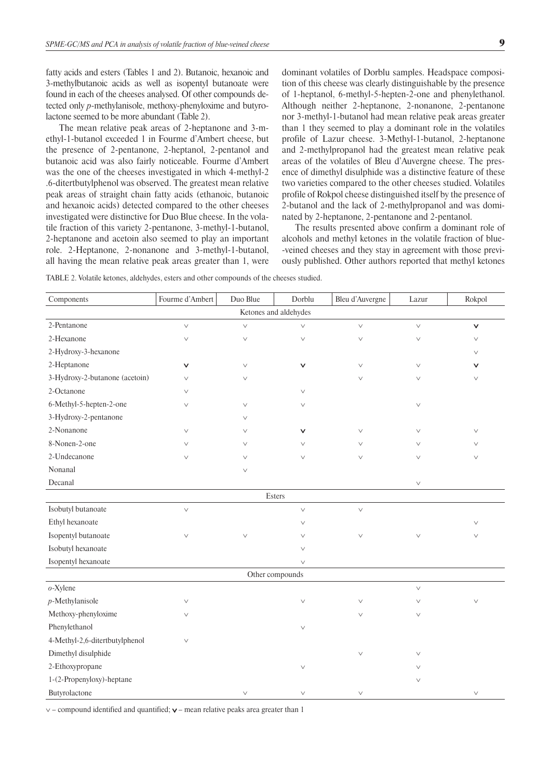fatty acids and esters (Tables 1 and 2). Butanoic, hexanoic and 3-methylbutanoic acids as well as isopentyl butanoate were found in each of the cheeses analysed. Of other compounds detected only *p*-methylanisole, methoxy-phenyloxime and butyrolactone seemed to be more abundant (Table 2).

The mean relative peak areas of 2-heptanone and 3-methyl-1-butanol exceeded 1 in Fourme d'Ambert cheese, but the presence of 2-pentanone, 2-heptanol, 2-pentanol and butanoic acid was also fairly noticeable. Fourme d'Ambert was the one of the cheeses investigated in which 4-methyl-2 .6-ditertbutylphenol was observed. The greatest mean relative peak areas of straight chain fatty acids (ethanoic, butanoic and hexanoic acids) detected compared to the other cheeses investigated were distinctive for Duo Blue cheese. In the volatile fraction of this variety 2-pentanone, 3-methyl-1-butanol, 2-heptanone and acetoin also seemed to play an important role. 2-Heptanone, 2-nonanone and 3-methyl-1-butanol, all having the mean relative peak areas greater than 1, were dominant volatiles of Dorblu samples. Headspace composition of this cheese was clearly distinguishable by the presence of 1-heptanol, 6-methyl-5-hepten-2-one and phenylethanol. Although neither 2-heptanone, 2-nonanone, 2-pentanone nor 3-methyl-1-butanol had mean relative peak areas greater than 1 they seemed to play a dominant role in the volatiles profile of Lazur cheese. 3-Methyl-1-butanol, 2-heptanone and 2-methylpropanol had the greatest mean relative peak areas of the volatiles of Bleu d'Auvergne cheese. The presence of dimethyl disulphide was a distinctive feature of these two varieties compared to the other cheeses studied. Volatiles profile of Rokpol cheese distinguished itself by the presence of 2 -butanol and the lack of 2-methylpropanol and was dominated by 2-heptanone, 2-pentanone and 2-pentanol.

The results presented above confirm a dominant role of alcohols and methyl ketones in the volatile fraction of blue- -veined cheeses and they stay in agreement with those previously published. Other authors reported that methyl ketones

Table 2. Volatile ketones, aldehydes, esters and other compounds of the cheeses studied.

| Components                     | Fourme d'Ambert | Duo Blue | Dorblu       | Bleu d'Auvergne | Lazur        | Rokpol       |  |  |
|--------------------------------|-----------------|----------|--------------|-----------------|--------------|--------------|--|--|
| Ketones and aldehydes          |                 |          |              |                 |              |              |  |  |
| 2-Pentanone                    | $\vee$          | $\vee$   | $\vee$       | $\checkmark$    | $\checkmark$ | $\checkmark$ |  |  |
| 2-Hexanone                     | $\vee$          | $\vee$   | $\vee$       | $\vee$          | $\vee$       | $\vee$       |  |  |
| 2-Hydroxy-3-hexanone           |                 |          |              |                 |              | $\vee$       |  |  |
| 2-Heptanone                    | $\checkmark$    | $\vee$   | $\checkmark$ | $\vee$          | $\vee$       | v            |  |  |
| 3-Hydroxy-2-butanone (acetoin) | $\vee$          | $\vee$   |              | $\vee$          | $\vee$       | $\vee$       |  |  |
| 2-Octanone                     | $\vee$          |          | $\vee$       |                 |              |              |  |  |
| 6-Methyl-5-hepten-2-one        | $\vee$          | $\vee$   | $\vee$       |                 | $\vee$       |              |  |  |
| 3-Hydroxy-2-pentanone          |                 | $\vee$   |              |                 |              |              |  |  |
| 2-Nonanone                     | $\vee$          | V        | $\checkmark$ | $\vee$          | $\vee$       | $\vee$       |  |  |
| 8-Nonen-2-one                  | $\vee$          | $\vee$   | $\vee$       | $\vee$          | $\vee$       | $\vee$       |  |  |
| 2-Undecanone                   | $\vee$          | $\vee$   | $\vee$       | $\vee$          | $\vee$       | $\vee$       |  |  |
| Nonanal                        |                 | $\vee$   |              |                 |              |              |  |  |
| Decanal                        |                 |          |              |                 | $\lor$       |              |  |  |
|                                |                 | Esters   |              |                 |              |              |  |  |
| Isobutyl butanoate             | $\vee$          |          | $\vee$       | $\vee$          |              |              |  |  |
| Ethyl hexanoate                |                 |          | $\vee$       |                 |              | $\vee$       |  |  |
| Isopentyl butanoate            | $\vee$          | $\vee$   | $\vee$       | $\vee$          | $\vee$       | $\vee$       |  |  |
| Isobutyl hexanoate             |                 |          | $\vee$       |                 |              |              |  |  |
| Isopentyl hexanoate            |                 |          | $\vee$       |                 |              |              |  |  |
|                                | Other compounds |          |              |                 |              |              |  |  |
| o-Xylene                       |                 |          |              |                 | $\checkmark$ |              |  |  |
| $p$ -Methylanisole             | $\vee$          |          | $\vee$       | $\vee$          | $\vee$       | $\vee$       |  |  |
| Methoxy-phenyloxime            | $\vee$          |          |              | $\vee$          | $\vee$       |              |  |  |
| Phenylethanol                  |                 |          | $\vee$       |                 |              |              |  |  |
| 4-Methyl-2,6-ditertbutylphenol | $\vee$          |          |              |                 |              |              |  |  |
| Dimethyl disulphide            |                 |          |              | $\vee$          | $\vee$       |              |  |  |
| 2-Ethoxypropane                |                 |          | $\vee$       |                 | $\vee$       |              |  |  |
| 1-(2-Propenyloxy)-heptane      |                 |          |              |                 | $\vee$       |              |  |  |
| Butyrolactone                  |                 | $\vee$   | $\vee$       | $\vee$          |              | $\vee$       |  |  |

∨ – compound identified and quantified; ∨ – mean relative peaks area greater than 1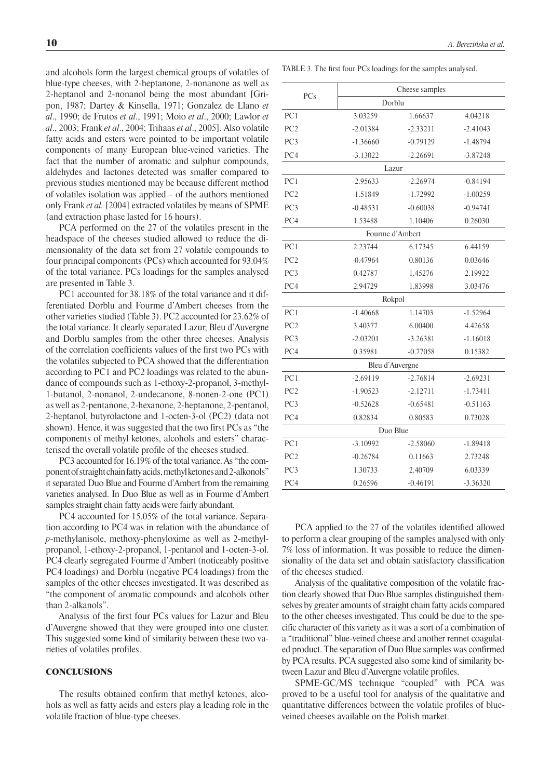and alcohols form the largest chemical groups of volatiles of blue-type cheeses, with 2-heptanone, 2-nonanone as well as 2-heptanol and 2-nonanol being the most abundant [Gripon, 1987; Dartey & Kinsella, 1971; Gonzalez de Llano *et al*., 1990; de Frutos *et al*., 1991; Moio *et al*., 2000; Lawlor *et al*., 2003; Frank *et al*., 2004; Trihaas *et al*., 2005]. Also volatile fatty acids and esters were pointed to be important volatile components of many European blue-veined varieties. The fact that the number of aromatic and sulphur compounds, aldehydes and lactones detected was smaller compared to previous studies mentioned may be because different method of volatiles isolation was applied – of the authors mentioned only Frank *et al.* [2004] extracted volatiles by means of SPME (and extraction phase lasted for 16 hours).

PCA performed on the 27 of the volatiles present in the headspace of the cheeses studied allowed to reduce the dimensionality of the data set from 27 volatile compounds to four principal components (PCs) which accounted for 93.04% of the total variance. PCs loadings for the samples analysed are presented in Table 3.

PC1 accounted for 38.18% of the total variance and it differentiated Dorblu and Fourme d'Ambert cheeses from the other varieties studied (Table 3). PC2 accounted for 23.62% of the total variance. It clearly separated Lazur, Bleu d'Auvergne and Dorblu samples from the other three cheeses. Analysis of the correlation coefficients values of the first two PCs with the volatiles subjected to PCA showed that the differentiation according to PC1 and PC2 loadings was related to the abundance of compounds such as 1-ethoxy-2-propanol, 3-methyl-1-butanol, 2-nonanol, 2-undecanone, 8-nonen-2-one (PC1) as well as 2-pentanone, 2-hexanone, 2-heptanone, 2-pentanol, 2-heptanol, butyrolactone and 1-octen-3-ol (PC2) (data not shown). Hence, it was suggested that the two first PCs as "the components of methyl ketones, alcohols and esters" characterised the overall volatile profile of the cheeses studied.

PC3 accounted for 16.19% of the total variance. As "the component of straight chain fatty acids, methyl ketones and 2-alkonols" it separated Duo Blue and Fourme d'Ambert from the remaining varieties analysed. In Duo Blue as well as in Fourme d'Ambert samples straight chain fatty acids were fairly abundant.

PC4 accounted for 15.05% of the total variance. Separation according to PC4 was in relation with the abundance of *p*-methylanisole, methoxy-phenyloxime as well as 2-methylpropanol, 1-ethoxy-2-propanol, 1-pentanol and 1-octen-3-ol. PC4 clearly segregated Fourme d'Ambert (noticeably positive PC4 loadings) and Dorblu (negative PC4 loadings) from the samples of the other cheeses investigated. It was described as "the component of aromatic compounds and alcohols other than 2-alkanols".

Analysis of the first four PCs values for Lazur and Bleu d'Auvergne showed that they were grouped into one cluster. This suggested some kind of similarity between these two varieties of volatiles profiles.

#### **CONCLUSIONS**

The results obtained confirm that methyl ketones, alcohols as well as fatty acids and esters play a leading role in the volatile fraction of blue-type cheeses.

Table 3. The first four PCs loadings for the samples analysed.

|                               | Cheese samples                |                          |            |  |  |  |
|-------------------------------|-------------------------------|--------------------------|------------|--|--|--|
| PCs                           | Dorblu                        |                          |            |  |  |  |
| PC1                           | 3.03259                       | 1.66637                  | 4.04218    |  |  |  |
| PC2                           | $-2.01384$                    | $-2.33211$               | $-2.41043$ |  |  |  |
| PC <sub>3</sub>               | $-1.36660$                    | $-0.79129$               | $-1.48794$ |  |  |  |
| PC4                           | $-3.13022$                    | $-2.26691$               | $-3.87248$ |  |  |  |
| Lazur                         |                               |                          |            |  |  |  |
| PC1                           | $-2.95633$                    | $-2.26974$               | $-0.84194$ |  |  |  |
| PC <sub>2</sub><br>$-1.51849$ |                               | $-1.72992$               | $-1.00259$ |  |  |  |
| PC <sub>3</sub>               | $-0.48531$                    | $-0.60038$               | $-0.94741$ |  |  |  |
| PC4                           | 1.53488<br>1.10406            |                          | 0.26030    |  |  |  |
| Fourme d'Ambert               |                               |                          |            |  |  |  |
| PC1                           | 2.23744                       | 6.17345                  | 6.44159    |  |  |  |
| PC <sub>2</sub>               | $-0.47964$                    | 0.80136                  | 0.03646    |  |  |  |
| PC <sub>3</sub>               | 0.42787                       | 1.45276                  | 2.19922    |  |  |  |
| PC4                           | 2.94729                       | 1.83998                  | 3.03476    |  |  |  |
| Rokpol                        |                               |                          |            |  |  |  |
| PC1                           | $-1.40668$                    | 1.14703                  | $-1.52964$ |  |  |  |
| PC <sub>2</sub>               | 3.40377<br>6.00400            |                          | 4.42658    |  |  |  |
| PC <sub>3</sub>               | $-2.03201$<br>$-3.26381$      |                          | $-1.16018$ |  |  |  |
| PC4                           | $-0.77058$<br>0.35981         |                          | 0.15382    |  |  |  |
| Bleu d'Auvergne               |                               |                          |            |  |  |  |
| PC1                           | $-2.69119$<br>$-2.76814$      |                          | $-2.69231$ |  |  |  |
| PC <sub>2</sub>               | $-1.90523$<br>$-2.12711$      |                          | $-1.73411$ |  |  |  |
| PC <sub>3</sub>               | $-0.52628$<br>$-0.65481$      |                          | $-0.51163$ |  |  |  |
| PC4                           | 0.80583<br>0.73028<br>0.82834 |                          |            |  |  |  |
| Duo Blue                      |                               |                          |            |  |  |  |
| PC1                           | $-3.10992$                    | $-1.89418$<br>$-2.58060$ |            |  |  |  |
| PC <sub>2</sub>               | $-0.26784$                    | 0.11663                  | 2.73248    |  |  |  |
| PC <sub>3</sub>               | 1.30733<br>2.40709            |                          | 6.03339    |  |  |  |
| PC4                           | 0.26596                       | $-0.46191$               | $-3.36320$ |  |  |  |

PCA applied to the 27 of the volatiles identified allowed to perform a clear grouping of the samples analysed with only 7% loss of information. It was possible to reduce the dimensionality of the data set and obtain satisfactory classification of the cheeses studied.

Analysis of the qualitative composition of the volatile fraction clearly showed that Duo Blue samples distinguished themselves by greater amounts of straight chain fatty acids compared to the other cheeses investigated. This could be due to the specific character of this variety as it was a sort of a combination of a "traditional" blue-veined cheese and another rennet coagulated product. The separation of Duo Blue samples was confirmed by PCA results. PCA suggested also some kind of similarity between Lazur and Bleu d'Auvergne volatile profiles.

SPME-GC/MS technique "coupled" with PCA was proved to be a useful tool for analysis of the qualitative and quantitative differences between the volatile profiles of blueveined cheeses available on the Polish market.